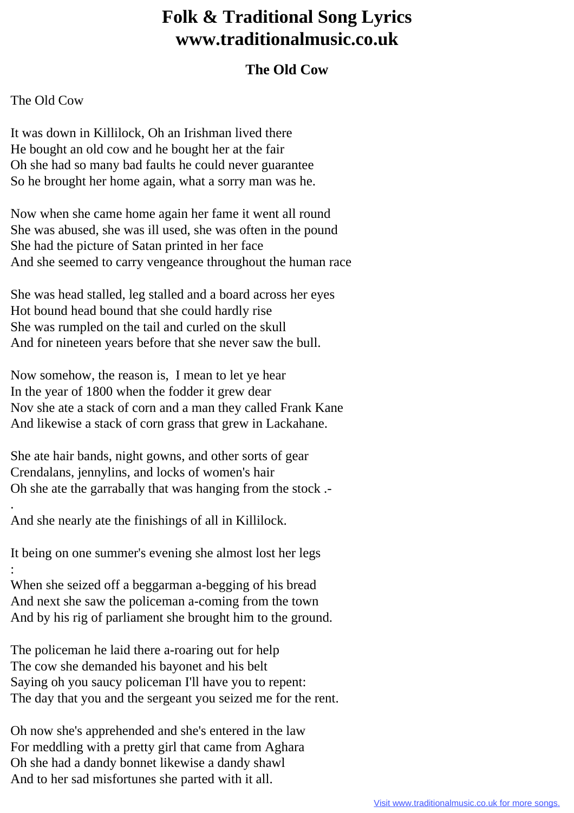## **Folk & Traditional Song Lyrics www.traditionalmusic.co.uk**

## **The Old Cow**

## The Old Cow

.

It was down in Killilock, Oh an Irishman lived there He bought an old cow and he bought her at the fair Oh she had so many bad faults he could never guarantee So he brought her home again, what a sorry man was he.

Now when she came home again her fame it went all round She was abused, she was ill used, she was often in the pound She had the picture of Satan printed in her face And she seemed to carry vengeance throughout the human race

She was head stalled, leg stalled and a board across her eyes Hot bound head bound that she could hardly rise She was rumpled on the tail and curled on the skull And for nineteen years before that she never saw the bull.

Now somehow, the reason is, I mean to let ye hear In the year of 1800 when the fodder it grew dear Nov she ate a stack of corn and a man they called Frank Kane And likewise a stack of corn grass that grew in Lackahane.

She ate hair bands, night gowns, and other sorts of gear Crendalans, jennylins, and locks of women's hair Oh she ate the garrabally that was hanging from the stock .-

And she nearly ate the finishings of all in Killilock.

It being on one summer's evening she almost lost her legs :

When she seized off a beggarman a-begging of his bread And next she saw the policeman a-coming from the town And by his rig of parliament she brought him to the ground.

The policeman he laid there a-roaring out for help The cow she demanded his bayonet and his belt Saying oh you saucy policeman I'll have you to repent: The day that you and the sergeant you seized me for the rent.

Oh now she's apprehended and she's entered in the law For meddling with a pretty girl that came from Aghara Oh she had a dandy bonnet likewise a dandy shawl And to her sad misfortunes she parted with it all.